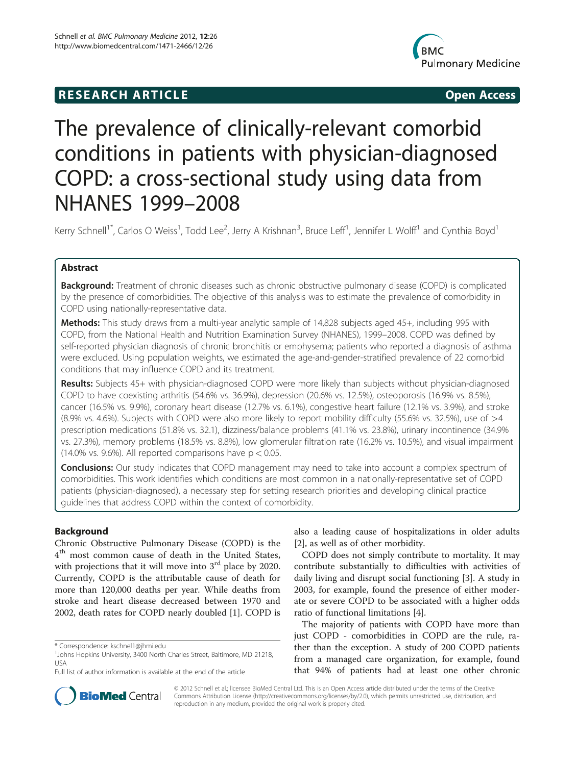## **RESEARCH ARTICLE Example 2014 12:30 The SEAR CHA RESEARCH ARTICLE**



# The prevalence of clinically-relevant comorbid conditions in patients with physician-diagnosed COPD: a cross-sectional study using data from NHANES 1999–2008

Kerry Schnell<sup>1\*</sup>, Carlos O Weiss<sup>1</sup>, Todd Lee<sup>2</sup>, Jerry A Krishnan<sup>3</sup>, Bruce Leff<sup>1</sup>, Jennifer L Wolff<sup>1</sup> and Cynthia Boyd<sup>1</sup>

## Abstract

**Background:** Treatment of chronic diseases such as chronic obstructive pulmonary disease (COPD) is complicated by the presence of comorbidities. The objective of this analysis was to estimate the prevalence of comorbidity in COPD using nationally-representative data.

Methods: This study draws from a multi-year analytic sample of 14,828 subjects aged 45+, including 995 with COPD, from the National Health and Nutrition Examination Survey (NHANES), 1999–2008. COPD was defined by self-reported physician diagnosis of chronic bronchitis or emphysema; patients who reported a diagnosis of asthma were excluded. Using population weights, we estimated the age-and-gender-stratified prevalence of 22 comorbid conditions that may influence COPD and its treatment.

Results: Subjects 45+ with physician-diagnosed COPD were more likely than subjects without physician-diagnosed COPD to have coexisting arthritis (54.6% vs. 36.9%), depression (20.6% vs. 12.5%), osteoporosis (16.9% vs. 8.5%), cancer (16.5% vs. 9.9%), coronary heart disease (12.7% vs. 6.1%), congestive heart failure (12.1% vs. 3.9%), and stroke (8.9% vs. 4.6%). Subjects with COPD were also more likely to report mobility difficulty (55.6% vs. 32.5%), use of >4 prescription medications (51.8% vs. 32.1), dizziness/balance problems (41.1% vs. 23.8%), urinary incontinence (34.9% vs. 27.3%), memory problems (18.5% vs. 8.8%), low glomerular filtration rate (16.2% vs. 10.5%), and visual impairment (14.0% vs. 9.6%). All reported comparisons have  $p < 0.05$ .

**Conclusions:** Our study indicates that COPD management may need to take into account a complex spectrum of comorbidities. This work identifies which conditions are most common in a nationally-representative set of COPD patients (physician-diagnosed), a necessary step for setting research priorities and developing clinical practice guidelines that address COPD within the context of comorbidity.

## Background

Chronic Obstructive Pulmonary Disease (COPD) is the  $4<sup>th</sup>$  most common cause of death in the United States, with projections that it will move into  $3<sup>rd</sup>$  place by 2020. Currently, COPD is the attributable cause of death for more than 120,000 deaths per year. While deaths from stroke and heart disease decreased between 1970 and 2002, death rates for COPD nearly doubled [[1\]](#page-7-0). COPD is

also a leading cause of hospitalizations in older adults [[2\]](#page-7-0), as well as of other morbidity.

COPD does not simply contribute to mortality. It may contribute substantially to difficulties with activities of daily living and disrupt social functioning [[3\]](#page-7-0). A study in 2003, for example, found the presence of either moderate or severe COPD to be associated with a higher odds ratio of functional limitations [\[4](#page-7-0)].

The majority of patients with COPD have more than just COPD - comorbidities in COPD are the rule, rather than the exception. A study of 200 COPD patients from a managed care organization, for example, found that 94% of patients had at least one other chronic



© 2012 Schnell et al.; licensee BioMed Central Ltd. This is an Open Access article distributed under the terms of the Creative Commons Attribution License [\(http://creativecommons.org/licenses/by/2.0\)](http://creativecommons.org/licenses/by/2.0), which permits unrestricted use, distribution, and reproduction in any medium, provided the original work is properly cited.

<sup>\*</sup> Correspondence: [kschnel1@jhmi.edu](mailto:kschnel1@jhmi.edu) <sup>1</sup>

<sup>&</sup>lt;sup>1</sup> Johns Hopkins University, 3400 North Charles Street, Baltimore, MD 21218, USA

Full list of author information is available at the end of the article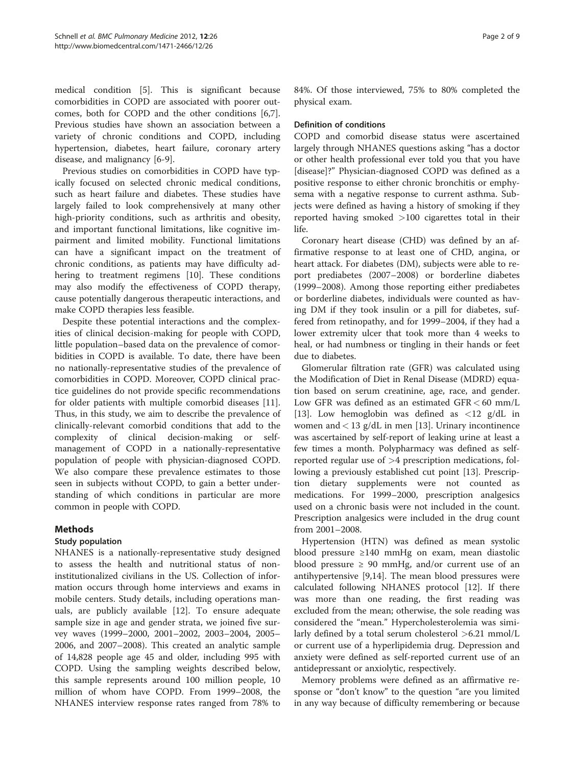medical condition [[5\]](#page-7-0). This is significant because comorbidities in COPD are associated with poorer outcomes, both for COPD and the other conditions [\[6,7](#page-7-0)]. Previous studies have shown an association between a variety of chronic conditions and COPD, including hypertension, diabetes, heart failure, coronary artery disease, and malignancy [\[6](#page-7-0)-[9\]](#page-7-0).

Previous studies on comorbidities in COPD have typically focused on selected chronic medical conditions, such as heart failure and diabetes. These studies have largely failed to look comprehensively at many other high-priority conditions, such as arthritis and obesity, and important functional limitations, like cognitive impairment and limited mobility. Functional limitations can have a significant impact on the treatment of chronic conditions, as patients may have difficulty adhering to treatment regimens [[10\]](#page-7-0). These conditions may also modify the effectiveness of COPD therapy, cause potentially dangerous therapeutic interactions, and make COPD therapies less feasible.

Despite these potential interactions and the complexities of clinical decision-making for people with COPD, little population–based data on the prevalence of comorbidities in COPD is available. To date, there have been no nationally-representative studies of the prevalence of comorbidities in COPD. Moreover, COPD clinical practice guidelines do not provide specific recommendations for older patients with multiple comorbid diseases [\[11](#page-7-0)]. Thus, in this study, we aim to describe the prevalence of clinically-relevant comorbid conditions that add to the complexity of clinical decision-making or selfmanagement of COPD in a nationally-representative population of people with physician-diagnosed COPD. We also compare these prevalence estimates to those seen in subjects without COPD, to gain a better understanding of which conditions in particular are more common in people with COPD.

## Methods

## Study population

NHANES is a nationally-representative study designed to assess the health and nutritional status of noninstitutionalized civilians in the US. Collection of information occurs through home interviews and exams in mobile centers. Study details, including operations manuals, are publicly available [[12\]](#page-7-0). To ensure adequate sample size in age and gender strata, we joined five survey waves (1999–2000, 2001–2002, 2003–2004, 2005– 2006, and 2007–2008). This created an analytic sample of 14,828 people age 45 and older, including 995 with COPD. Using the sampling weights described below, this sample represents around 100 million people, 10 million of whom have COPD. From 1999–2008, the NHANES interview response rates ranged from 78% to 84%. Of those interviewed, 75% to 80% completed the physical exam.

## Definition of conditions

COPD and comorbid disease status were ascertained largely through NHANES questions asking "has a doctor or other health professional ever told you that you have [disease]?" Physician-diagnosed COPD was defined as a positive response to either chronic bronchitis or emphysema with a negative response to current asthma. Subjects were defined as having a history of smoking if they reported having smoked >100 cigarettes total in their life.

Coronary heart disease (CHD) was defined by an affirmative response to at least one of CHD, angina, or heart attack. For diabetes (DM), subjects were able to report prediabetes (2007–2008) or borderline diabetes (1999–2008). Among those reporting either prediabetes or borderline diabetes, individuals were counted as having DM if they took insulin or a pill for diabetes, suffered from retinopathy, and for 1999–2004, if they had a lower extremity ulcer that took more than 4 weeks to heal, or had numbness or tingling in their hands or feet due to diabetes.

Glomerular filtration rate (GFR) was calculated using the Modification of Diet in Renal Disease (MDRD) equation based on serum creatinine, age, race, and gender. Low GFR was defined as an estimated GFR < 60 mm/L [[13\]](#page-7-0). Low hemoglobin was defined as  $\langle 12 \text{ g/dL} \rangle$  in women and  $<$  13 g/dL in men [\[13](#page-7-0)]. Urinary incontinence was ascertained by self-report of leaking urine at least a few times a month. Polypharmacy was defined as selfreported regular use of  $>4$  prescription medications, following a previously established cut point [[13\]](#page-7-0). Prescription dietary supplements were not counted as medications. For 1999–2000, prescription analgesics used on a chronic basis were not included in the count. Prescription analgesics were included in the drug count from 2001–2008.

Hypertension (HTN) was defined as mean systolic blood pressure ≥140 mmHg on exam, mean diastolic blood pressure  $\geq 90$  mmHg, and/or current use of an antihypertensive [\[9](#page-7-0),[14](#page-7-0)]. The mean blood pressures were calculated following NHANES protocol [[12](#page-7-0)]. If there was more than one reading, the first reading was excluded from the mean; otherwise, the sole reading was considered the "mean." Hypercholesterolemia was similarly defined by a total serum cholesterol  $>6.21$  mmol/L or current use of a hyperlipidemia drug. Depression and anxiety were defined as self-reported current use of an antidepressant or anxiolytic, respectively.

Memory problems were defined as an affirmative response or "don't know" to the question "are you limited in any way because of difficulty remembering or because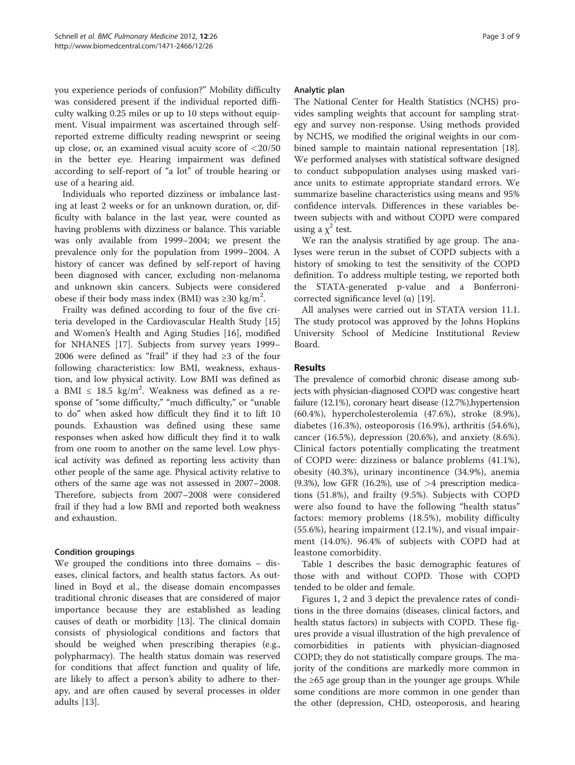you experience periods of confusion?" Mobility difficulty was considered present if the individual reported difficulty walking 0.25 miles or up to 10 steps without equipment. Visual impairment was ascertained through selfreported extreme difficulty reading newsprint or seeing up close, or, an examined visual acuity score of  $\langle 20/50 \rangle$ in the better eye. Hearing impairment was defined according to self-report of "a lot" of trouble hearing or use of a hearing aid.

Individuals who reported dizziness or imbalance lasting at least 2 weeks or for an unknown duration, or, difficulty with balance in the last year, were counted as having problems with dizziness or balance. This variable was only available from 1999–2004; we present the prevalence only for the population from 1999–2004. A history of cancer was defined by self-report of having been diagnosed with cancer, excluding non-melanoma and unknown skin cancers. Subjects were considered obese if their body mass index (BMI) was ≥30 kg/m<sup>2</sup>.

Frailty was defined according to four of the five criteria developed in the Cardiovascular Health Study [[15](#page-7-0)] and Women's Health and Aging Studies [\[16\]](#page-7-0), modified for NHANES [\[17](#page-7-0)]. Subjects from survey years 1999– 2006 were defined as "frail" if they had ≥3 of the four following characteristics: low BMI, weakness, exhaustion, and low physical activity. Low BMI was defined as a BMI  $\leq 18.5 \text{ kg/m}^2$ . Weakness was defined as a response of "some difficulty," "much difficulty," or "unable to do" when asked how difficult they find it to lift 10 pounds. Exhaustion was defined using these same responses when asked how difficult they find it to walk from one room to another on the same level. Low physical activity was defined as reporting less activity than other people of the same age. Physical activity relative to others of the same age was not assessed in 2007–2008. Therefore, subjects from 2007–2008 were considered frail if they had a low BMI and reported both weakness and exhaustion.

## Condition groupings

We grouped the conditions into three domains – diseases, clinical factors, and health status factors. As outlined in Boyd et al., the disease domain encompasses traditional chronic diseases that are considered of major importance because they are established as leading causes of death or morbidity [[13](#page-7-0)]. The clinical domain consists of physiological conditions and factors that should be weighed when prescribing therapies (e.g., polypharmacy). The health status domain was reserved for conditions that affect function and quality of life, are likely to affect a person's ability to adhere to therapy, and are often caused by several processes in older adults [[13\]](#page-7-0).

#### Analytic plan

The National Center for Health Statistics (NCHS) provides sampling weights that account for sampling strategy and survey non-response. Using methods provided by NCHS, we modified the original weights in our combined sample to maintain national representation [\[18](#page-7-0)]. We performed analyses with statistical software designed to conduct subpopulation analyses using masked variance units to estimate appropriate standard errors. We summarize baseline characteristics using means and 95% confidence intervals. Differences in these variables between subjects with and without COPD were compared using a  $\chi^2$  test.

We ran the analysis stratified by age group. The analyses were rerun in the subset of COPD subjects with a history of smoking to test the sensitivity of the COPD definition. To address multiple testing, we reported both the STATA-generated p-value and a Bonferroni-corrected significance level (α) [[19\]](#page-7-0).

All analyses were carried out in STATA version 11.1. The study protocol was approved by the Johns Hopkins University School of Medicine Institutional Review Board.

## Results

The prevalence of comorbid chronic disease among subjects with physician-diagnosed COPD was: congestive heart failure (12.1%), coronary heart disease (12.7%),hypertension (60.4%), hypercholesterolemia (47.6%), stroke (8.9%), diabetes (16.3%), osteoporosis (16.9%), arthritis (54.6%), cancer (16.5%), depression (20.6%), and anxiety (8.6%). Clinical factors potentially complicating the treatment of COPD were: dizziness or balance problems (41.1%), obesity (40.3%), urinary incontinence (34.9%), anemia (9.3%), low GFR (16.2%), use of  $>4$  prescription medications (51.8%), and frailty (9.5%). Subjects with COPD were also found to have the following "health status" factors: memory problems (18.5%), mobility difficulty (55.6%), hearing impairment (12.1%), and visual impairment (14.0%). 96.4% of subjects with COPD had at leastone comorbidity.

Table [1](#page-3-0) describes the basic demographic features of those with and without COPD. Those with COPD tended to be older and female.

Figures [1](#page-3-0), [2](#page-4-0) and [3](#page-4-0) depict the prevalence rates of conditions in the three domains (diseases, clinical factors, and health status factors) in subjects with COPD. These figures provide a visual illustration of the high prevalence of comorbidities in patients with physician-diagnosed COPD; they do not statistically compare groups. The majority of the conditions are markedly more common in the ≥65 age group than in the younger age groups. While some conditions are more common in one gender than the other (depression, CHD, osteoporosis, and hearing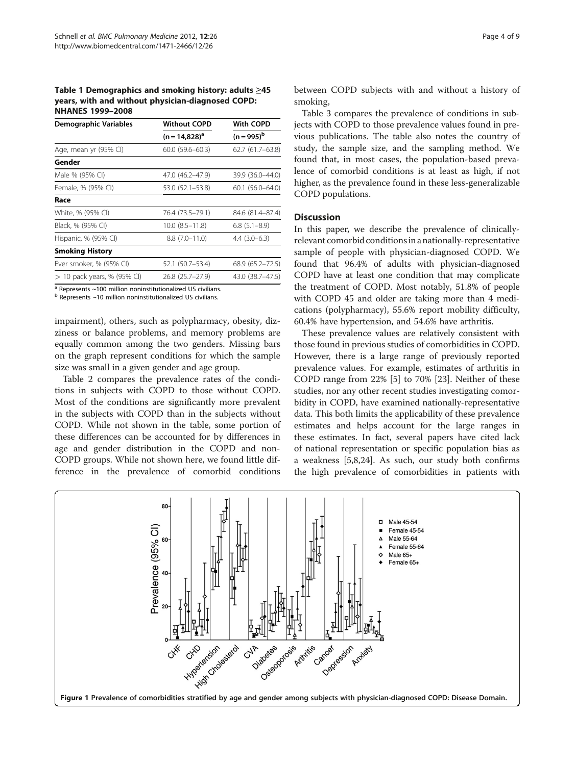<span id="page-3-0"></span>Table 1 Demographics and smoking history: adults ≥45 years, with and without physician-diagnosed COPD: NHANES 1999–2008

| Demographic Variables         | <b>Without COPD</b>   | With COPD<br>$(n = 995)^{b}$ |  |  |
|-------------------------------|-----------------------|------------------------------|--|--|
|                               | $(n = 14.828)^{a}$    |                              |  |  |
| Age, mean yr (95% CI)         | $60.0(59.6 - 60.3)$   | 62.7 (61.7–63.8)             |  |  |
| Gender                        |                       |                              |  |  |
| Male % (95% CI)               | 47.0 (46.2-47.9)      | 39.9 (36.0–44.0)             |  |  |
| Female, % (95% CI)            | 53.0 (52.1–53.8)      | 60.1 (56.0–64.0)             |  |  |
| Race                          |                       |                              |  |  |
| White, % (95% CI)             | 76.4 (73.5–79.1)      | 84.6 (81.4–87.4)             |  |  |
| Black, % (95% CI)             | $10.0$ $(8.5 - 11.8)$ | $6.8(5.1 - 8.9)$             |  |  |
| Hispanic, % (95% CI)          | $8.8(7.0 - 11.0)$     | $4.4(3.0-6.3)$               |  |  |
| <b>Smoking History</b>        |                       |                              |  |  |
| Ever smoker, % (95% CI)       | 52.1 (50.7–53.4)      | 68.9 (65.2–72.5)             |  |  |
| $> 10$ pack years, % (95% CI) | 26.8 (25.7–27.9)      | 43.0 (38.7–47.5)             |  |  |
|                               |                       |                              |  |  |

 $a$  Represents  $\sim$ 100 million noninstitutionalized US civilians.

 $<sup>b</sup>$  Represents ~10 million noninstitutionalized US civilians.</sup>

impairment), others, such as polypharmacy, obesity, dizziness or balance problems, and memory problems are equally common among the two genders. Missing bars on the graph represent conditions for which the sample size was small in a given gender and age group.

Table [2](#page-5-0) compares the prevalence rates of the conditions in subjects with COPD to those without COPD. Most of the conditions are significantly more prevalent in the subjects with COPD than in the subjects without COPD. While not shown in the table, some portion of these differences can be accounted for by differences in age and gender distribution in the COPD and non-COPD groups. While not shown here, we found little difference in the prevalence of comorbid conditions

between COPD subjects with and without a history of smoking,

Table [3](#page-6-0) compares the prevalence of conditions in subjects with COPD to those prevalence values found in previous publications. The table also notes the country of study, the sample size, and the sampling method. We found that, in most cases, the population-based prevalence of comorbid conditions is at least as high, if not higher, as the prevalence found in these less-generalizable COPD populations.

#### **Discussion**

In this paper, we describe the prevalence of clinicallyrelevant comorbid conditionsin a nationally-representative sample of people with physician-diagnosed COPD. We found that 96.4% of adults with physician-diagnosed COPD have at least one condition that may complicate the treatment of COPD. Most notably, 51.8% of people with COPD 45 and older are taking more than 4 medications (polypharmacy), 55.6% report mobility difficulty, 60.4% have hypertension, and 54.6% have arthritis.

These prevalence values are relatively consistent with those found in previous studies of comorbidities in COPD. However, there is a large range of previously reported prevalence values. For example, estimates of arthritis in COPD range from 22% [\[5](#page-7-0)] to 70% [\[23](#page-8-0)]. Neither of these studies, nor any other recent studies investigating comorbidity in COPD, have examined nationally-representative data. This both limits the applicability of these prevalence estimates and helps account for the large ranges in these estimates. In fact, several papers have cited lack of national representation or specific population bias as a weakness [\[5,8](#page-7-0)[,24](#page-8-0)]. As such, our study both confirms the high prevalence of comorbidities in patients with

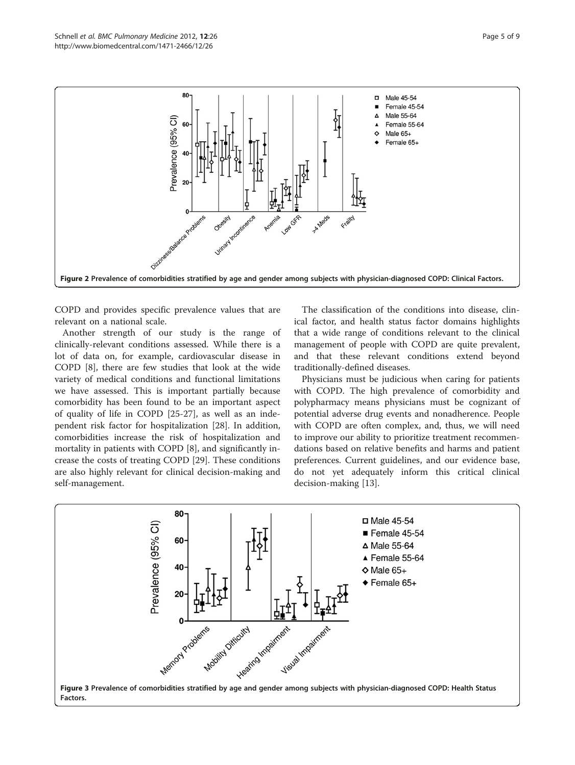<span id="page-4-0"></span>

COPD and provides specific prevalence values that are relevant on a national scale.

Another strength of our study is the range of clinically-relevant conditions assessed. While there is a lot of data on, for example, cardiovascular disease in COPD [\[8](#page-7-0)], there are few studies that look at the wide variety of medical conditions and functional limitations we have assessed. This is important partially because comorbidity has been found to be an important aspect of quality of life in COPD [[25](#page-8-0)-[27\]](#page-8-0), as well as an independent risk factor for hospitalization [[28\]](#page-8-0). In addition, comorbidities increase the risk of hospitalization and mortality in patients with COPD [\[8](#page-7-0)], and significantly increase the costs of treating COPD [\[29](#page-8-0)]. These conditions are also highly relevant for clinical decision-making and self-management.

The classification of the conditions into disease, clinical factor, and health status factor domains highlights that a wide range of conditions relevant to the clinical management of people with COPD are quite prevalent, and that these relevant conditions extend beyond traditionally-defined diseases.

Physicians must be judicious when caring for patients with COPD. The high prevalence of comorbidity and polypharmacy means physicians must be cognizant of potential adverse drug events and nonadherence. People with COPD are often complex, and, thus, we will need to improve our ability to prioritize treatment recommendations based on relative benefits and harms and patient preferences. Current guidelines, and our evidence base, do not yet adequately inform this critical clinical decision-making [\[13\]](#page-7-0).

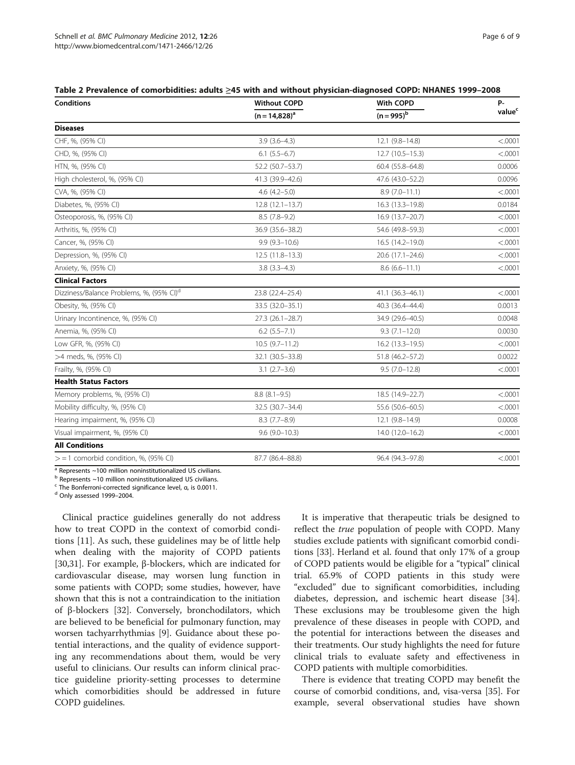<span id="page-5-0"></span>

| Table 2 Prevalence of comorbidities: adults ≥45 with and without physician-diagnosed COPD: NHANES 1999-2008 |  |  |  |
|-------------------------------------------------------------------------------------------------------------|--|--|--|
|-------------------------------------------------------------------------------------------------------------|--|--|--|

| <b>Conditions</b>                                    | <b>Without COPD</b> | With COPD           | P-<br>value <sup>c</sup> |
|------------------------------------------------------|---------------------|---------------------|--------------------------|
|                                                      | $(n = 14,828)^a$    | $(n = 995)^{b}$     |                          |
| <b>Diseases</b>                                      |                     |                     |                          |
| CHF, %, (95% CI)                                     | $3.9(3.6-4.3)$      | 12.1 (9.8-14.8)     | < .0001                  |
| CHD, %, (95% CI)                                     | $6.1$ $(5.5-6.7)$   | 12.7 (10.5-15.3)    | < .0001                  |
| HTN, %, (95% CI)                                     | 52.2 (50.7-53.7)    | $60.4(55.8 - 64.8)$ | 0.0006                   |
| High cholesterol, %, (95% CI)                        | 41.3 (39.9-42.6)    | 47.6 (43.0-52.2)    | 0.0096                   |
| CVA, %, (95% CI)                                     | $4.6(4.2 - 5.0)$    | $8.9(7.0-11.1)$     | < .0001                  |
| Diabetes, %, (95% CI)                                | $12.8(12.1-13.7)$   | 16.3 (13.3-19.8)    | 0.0184                   |
| Osteoporosis, %, (95% CI)                            | $8.5(7.8-9.2)$      | 16.9 (13.7-20.7)    | < .0001                  |
| Arthritis, %, (95% CI)                               | 36.9 (35.6-38.2)    | 54.6 (49.8-59.3)    | < .0001                  |
| Cancer, %, (95% CI)                                  | $9.9(9.3 - 10.6)$   | 16.5 (14.2-19.0)    | < .0001                  |
| Depression, %, (95% CI)                              | $12.5(11.8-13.3)$   | 20.6 (17.1-24.6)    | < .0001                  |
| Anxiety, %, (95% CI)                                 | $3.8(3.3 - 4.3)$    | $8.6(6.6 - 11.1)$   | < .0001                  |
| <b>Clinical Factors</b>                              |                     |                     |                          |
| Dizziness/Balance Problems, %, (95% CI) <sup>d</sup> | 23.8 (22.4-25.4)    | 41.1 (36.3-46.1)    | < .0001                  |
| Obesity, %, (95% CI)                                 | 33.5 (32.0-35.1)    | 40.3 (36.4-44.4)    | 0.0013                   |
| Urinary Incontinence, %, (95% CI)                    | $27.3(26.1 - 28.7)$ | 34.9 (29.6-40.5)    | 0.0048                   |
| Anemia, %, (95% CI)                                  | $6.2$ $(5.5 - 7.1)$ | $9.3(7.1 - 12.0)$   | 0.0030                   |
| Low GFR, %, (95% CI)                                 | $10.5(9.7-11.2)$    | 16.2 (13.3-19.5)    | < .0001                  |
| >4 meds, %, (95% CI)                                 | 32.1 (30.5-33.8)    | 51.8 (46.2-57.2)    | 0.0022                   |
| Frailty, %, (95% CI)                                 | $3.1 (2.7 - 3.6)$   | $9.5(7.0-12.8)$     | < .0001                  |
| <b>Health Status Factors</b>                         |                     |                     |                          |
| Memory problems, %, (95% CI)                         | $8.8(8.1 - 9.5)$    | 18.5 (14.9-22.7)    | < .0001                  |
| Mobility difficulty, %, (95% CI)                     | 32.5 (30.7-34.4)    | 55.6 (50.6-60.5)    | < .0001                  |
| Hearing impairment, %, (95% CI)                      | $8.3(7.7-8.9)$      | 12.1 (9.8-14.9)     | 0.0008                   |
| Visual impairment, %, (95% CI)                       | $9.6(9.0-10.3)$     | 14.0 (12.0-16.2)    | < .0001                  |
| <b>All Conditions</b>                                |                     |                     |                          |
| $>$ = 1 comorbid condition, %, (95% CI)              | 87.7 (86.4-88.8)    | 96.4 (94.3-97.8)    | < .0001                  |

a Represents ~100 million noninstitutionalized US civilians.

b Represents ~10 million noninstitutionalized US civilians.

<sup>c</sup> The Bonferroni-corrected significance level, <sup>α</sup>, is 0.0011. <sup>d</sup> Only assessed 1999–2004.

Clinical practice guidelines generally do not address how to treat COPD in the context of comorbid conditions [\[11\]](#page-7-0). As such, these guidelines may be of little help when dealing with the majority of COPD patients [[30,31\]](#page-8-0). For example, β-blockers, which are indicated for cardiovascular disease, may worsen lung function in some patients with COPD; some studies, however, have shown that this is not a contraindication to the initiation of β-blockers [\[32\]](#page-8-0). Conversely, bronchodilators, which are believed to be beneficial for pulmonary function, may worsen tachyarrhythmias [[9\]](#page-7-0). Guidance about these potential interactions, and the quality of evidence supporting any recommendations about them, would be very useful to clinicians. Our results can inform clinical practice guideline priority-setting processes to determine which comorbidities should be addressed in future COPD guidelines.

It is imperative that therapeutic trials be designed to reflect the *true* population of people with COPD. Many studies exclude patients with significant comorbid conditions [\[33\]](#page-8-0). Herland et al. found that only 17% of a group of COPD patients would be eligible for a "typical" clinical trial. 65.9% of COPD patients in this study were "excluded" due to significant comorbidities, including diabetes, depression, and ischemic heart disease [\[34](#page-8-0)]. These exclusions may be troublesome given the high prevalence of these diseases in people with COPD, and the potential for interactions between the diseases and their treatments. Our study highlights the need for future clinical trials to evaluate safety and effectiveness in COPD patients with multiple comorbidities.

There is evidence that treating COPD may benefit the course of comorbid conditions, and, visa-versa [[35\]](#page-8-0). For example, several observational studies have shown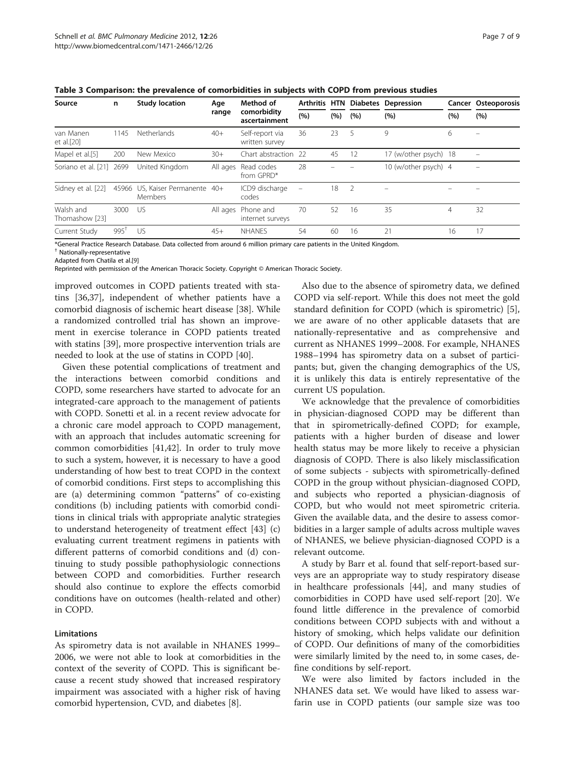| Source                      | n               | <b>Study location</b>                      | Age<br>range | Method of<br>comorbidity<br>ascertainment | (%)                      | (%) | (%)            | Arthritis HTN Diabetes Depression<br>(%) | (%) | Cancer Osteoporosis<br>(%) |
|-----------------------------|-----------------|--------------------------------------------|--------------|-------------------------------------------|--------------------------|-----|----------------|------------------------------------------|-----|----------------------------|
|                             |                 |                                            |              |                                           |                          |     |                |                                          |     |                            |
| Mapel et al.[5]             | 200             | New Mexico                                 | $30+$        | Chart abstraction 22                      |                          | 45  | 12             | 17 (w/other psych) 18                    |     |                            |
| Soriano et al. [21]         | 2699            | United Kinadom                             |              | All ages Read codes<br>from GPRD*         | 28                       |     |                | 10 (w/other psych) 4                     |     |                            |
| Sidney et al. [22]          |                 | 45966 US, Kaiser Permanente 40+<br>Members |              | ICD9 discharge<br>codes                   | $\overline{\phantom{0}}$ | 18  | $\overline{2}$ |                                          |     |                            |
| Walsh and<br>Thomashow [23] | 3000            | -US                                        |              | All ages Phone and<br>internet surveys    | 70                       | 52  | 16             | 35                                       | 4   | 32                         |
| Current Study               | $995^{\dagger}$ | US                                         | $45+$        | <b>NHANES</b>                             | 54                       | 60  | 16             | 21                                       | 16  | 17                         |

<span id="page-6-0"></span>Table 3 Comparison: the prevalence of comorbidities in subjects with COPD from previous studies

\*General Practice Research Database. Data collected from around 6 million primary care patients in the United Kingdom.

† Nationally-representative

Adapted from Chatila et al.[\[9](#page-7-0)]

Reprinted with permission of the American Thoracic Society. Copyright © American Thoracic Society.

improved outcomes in COPD patients treated with statins [[36,37\]](#page-8-0), independent of whether patients have a comorbid diagnosis of ischemic heart disease [[38](#page-8-0)]. While a randomized controlled trial has shown an improvement in exercise tolerance in COPD patients treated with statins [[39\]](#page-8-0), more prospective intervention trials are needed to look at the use of statins in COPD [\[40](#page-8-0)].

Given these potential complications of treatment and the interactions between comorbid conditions and COPD, some researchers have started to advocate for an integrated-care approach to the management of patients with COPD. Sonetti et al. in a recent review advocate for a chronic care model approach to COPD management, with an approach that includes automatic screening for common comorbidities [[41,42\]](#page-8-0). In order to truly move to such a system, however, it is necessary to have a good understanding of how best to treat COPD in the context of comorbid conditions. First steps to accomplishing this are (a) determining common "patterns" of co-existing conditions (b) including patients with comorbid conditions in clinical trials with appropriate analytic strategies to understand heterogeneity of treatment effect [\[43\]](#page-8-0) (c) evaluating current treatment regimens in patients with different patterns of comorbid conditions and (d) continuing to study possible pathophysiologic connections between COPD and comorbidities. Further research should also continue to explore the effects comorbid conditions have on outcomes (health-related and other) in COPD.

#### Limitations

As spirometry data is not available in NHANES 1999– 2006, we were not able to look at comorbidities in the context of the severity of COPD. This is significant because a recent study showed that increased respiratory impairment was associated with a higher risk of having comorbid hypertension, CVD, and diabetes [[8\]](#page-7-0).

Also due to the absence of spirometry data, we defined COPD via self-report. While this does not meet the gold standard definition for COPD (which is spirometric) [\[5](#page-7-0)], we are aware of no other applicable datasets that are nationally-representative and as comprehensive and current as NHANES 1999–2008. For example, NHANES 1988–1994 has spirometry data on a subset of participants; but, given the changing demographics of the US, it is unlikely this data is entirely representative of the current US population.

We acknowledge that the prevalence of comorbidities in physician-diagnosed COPD may be different than that in spirometrically-defined COPD; for example, patients with a higher burden of disease and lower health status may be more likely to receive a physician diagnosis of COPD. There is also likely misclassification of some subjects - subjects with spirometrically-defined COPD in the group without physician-diagnosed COPD, and subjects who reported a physician-diagnosis of COPD, but who would not meet spirometric criteria. Given the available data, and the desire to assess comorbidities in a larger sample of adults across multiple waves of NHANES, we believe physician-diagnosed COPD is a relevant outcome.

A study by Barr et al. found that self-report-based surveys are an appropriate way to study respiratory disease in healthcare professionals [\[44](#page-8-0)], and many studies of comorbidities in COPD have used self-report [[20\]](#page-7-0). We found little difference in the prevalence of comorbid conditions between COPD subjects with and without a history of smoking, which helps validate our definition of COPD. Our definitions of many of the comorbidities were similarly limited by the need to, in some cases, define conditions by self-report.

We were also limited by factors included in the NHANES data set. We would have liked to assess warfarin use in COPD patients (our sample size was too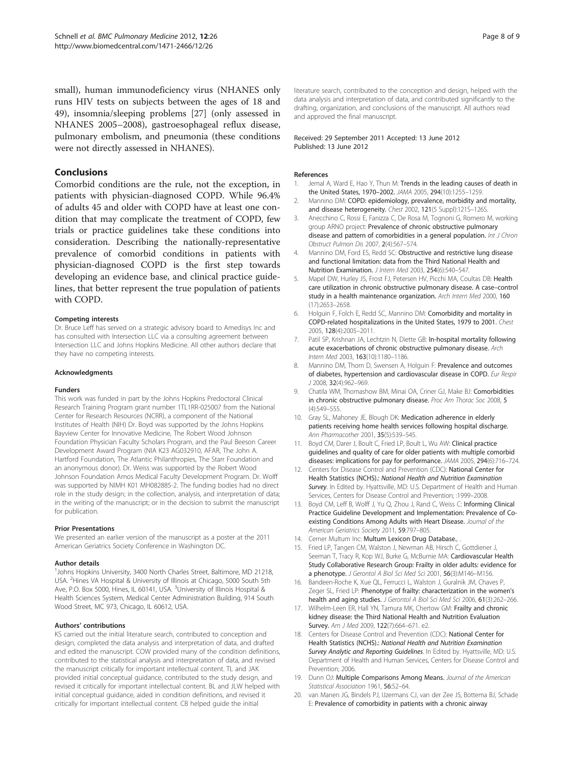<span id="page-7-0"></span>small), human immunodeficiency virus (NHANES only runs HIV tests on subjects between the ages of 18 and 49), insomnia/sleeping problems [\[27](#page-8-0)] (only assessed in NHANES 2005–2008), gastroesophageal reflux disease, pulmonary embolism, and pneumonia (these conditions were not directly assessed in NHANES).

## Conclusions

Comorbid conditions are the rule, not the exception, in patients with physician-diagnosed COPD. While 96.4% of adults 45 and older with COPD have at least one condition that may complicate the treatment of COPD, few trials or practice guidelines take these conditions into consideration. Describing the nationally-representative prevalence of comorbid conditions in patients with physician-diagnosed COPD is the first step towards developing an evidence base, and clinical practice guidelines, that better represent the true population of patients with COPD.

#### Competing interests

Dr. Bruce Leff has served on a strategic advisory board to Amedisys Inc and has consulted with Intersection LLC via a consulting agreement between Intersection LLC and Johns Hopkins Medicine. All other authors declare that they have no competing interests.

#### Acknowledgments

#### Funders

This work was funded in part by the Johns Hopkins Predoctoral Clinical Research Training Program grant number 1TL1RR-025007 from the National Center for Research Resources (NCRR), a component of the National Institutes of Health (NIH) Dr. Boyd was supported by the Johns Hopkins Bayview Center for Innovative Medicine, The Robert Wood Johnson Foundation Physician Faculty Scholars Program, and the Paul Beeson Career Development Award Program (NIA K23 AG032910, AFAR, The John A. Hartford Foundation, The Atlantic Philanthropies, The Starr Foundation and an anonymous donor). Dr. Weiss was supported by the Robert Wood Johnson Foundation Amos Medical Faculty Development Program. Dr. Wolff was supported by NIMH K01 MH082885-2. The funding bodies had no direct role in the study design; in the collection, analysis, and interpretation of data; in the writing of the manuscript; or in the decision to submit the manuscript for publication.

#### Prior Presentations

We presented an earlier version of the manuscript as a poster at the 2011 American Geriatrics Society Conference in Washington DC.

#### Author details

<sup>1</sup>Johns Hopkins University, 3400 North Charles Street, Baltimore, MD 21218, USA. <sup>2</sup>Hines VA Hospital & University of Illinois at Chicago, 5000 South 5th Ave, P.O. Box 5000, Hines, IL 60141, USA. <sup>3</sup>University of Illinois Hospital & Health Sciences System, Medical Center Administration Building, 914 South Wood Street, MC 973, Chicago, IL 60612, USA.

#### Authors' contributions

KS carried out the initial literature search, contributed to conception and design, completed the data analysis and interpretation of data, and drafted and edited the manuscript. COW provided many of the condition definitions, contributed to the statistical analysis and interpretation of data, and revised the manuscript critically for important intellectual content. TL and JAK provided initial conceptual guidance, contributed to the study design, and revised it critically for important intellectual content. BL and JLW helped with initial conceptual guidance, aided in condition definitions, and revised it critically for important intellectual content. CB helped guide the initial

#### Received: 29 September 2011 Accepted: 13 June 2012 Published: 13 June 2012

#### References

- 1. Jemal A, Ward E, Hao Y, Thun M: Trends in the leading causes of death in the United States, 1970–2002. JAMA 2005, 294(10):1255–1259.
- 2. Mannino DM: COPD: epidemiology, prevalence, morbidity and mortality, and disease heterogeneity. Chest 2002, 121(5 Suppl):121S–126S.
- 3. Anecchino C, Rossi E, Fanizza C, De Rosa M, Tognoni G, Romero M, working group ARNO project: Prevalence of chronic obstructive pulmonary disease and pattern of comorbidities in a general population. Int J Chron Obstruct Pulmon Dis 2007, 2(4):567–574.
- 4. Mannino DM, Ford ES, Redd SC: Obstructive and restrictive lung disease and functional limitation: data from the Third National Health and Nutrition Examination. J Intern Med 2003, 254(6):540–547.
- 5. Mapel DW, Hurley JS, Frost FJ, Petersen HV, Picchi MA, Coultas DB: Health care utilization in chronic obstructive pulmonary disease. A case–control study in a health maintenance organization. Arch Intern Med 2000, 160 (17):2653–2658.
- 6. Holguin F, Folch E, Redd SC, Mannino DM: Comorbidity and mortality in COPD-related hospitalizations in the United States, 1979 to 2001. Chest 2005, 128(4):2005–2011.
- 7. Patil SP, Krishnan JA, Lechtzin N, Diette GB: In-hospital mortality following acute exacerbations of chronic obstructive pulmonary disease. Arch Intern Med 2003, 163(10):1180-1186.
- 8. Mannino DM, Thorn D, Swensen A, Holguin F: Prevalence and outcomes of diabetes, hypertension and cardiovascular disease in COPD. Eur Respir J 2008, 32(4):962–969.
- 9. Chatila WM, Thomashow BM, Minai OA, Criner GJ, Make BJ: Comorbidities in chronic obstructive pulmonary disease. Proc Am Thorac Soc 2008, 5 (4):549–555.
- 10. Gray SL, Mahoney JE, Blough DK: Medication adherence in elderly patients receiving home health services following hospital discharge. Ann Pharmacother 2001, 35(5):539–545.
- 11. Boyd CM, Darer J, Boult C, Fried LP, Boult L, Wu AW: Clinical practice guidelines and quality of care for older patients with multiple comorbid diseases: implications for pay for performance. JAMA 2005, 294(6):716–724.
- 12. Centers for Disease Control and Prevention (CDC): National Center for Health Statistics (NCHS).: National Health and Nutrition Examination Survey. In Edited by. Hyattsville, MD: U.S. Department of Health and Human Services, Centers for Disease Control and Prevention; :1999–2008.
- Boyd CM, Leff B, Wolff J, Yu Q, Zhou J, Rand C, Weiss C: Informing Clinical Practice Guideline Development and Implementation: Prevalence of Coexisting Conditions Among Adults with Heart Disease. Journal of the American Geriatrics Society 2011, 59:797–805.
- 14. Cerner Multum Inc: Multum Lexicon Drug Database.,
- 15. Fried LP, Tangen CM, Walston J, Newman AB, Hirsch C, Gottdiener J, Seeman T, Tracy R, Kop WJ, Burke G, McBurnie MA: Cardiovascular Health Study Collaborative Research Group: Frailty in older adults: evidence for a phenotype. J Gerontol A Biol Sci Med Sci 2001, 56(3):M146–M156.
- 16. Bandeen-Roche K, Xue QL, Ferrucci L, Walston J, Guralnik JM, Chaves P, Zeger SL, Fried LP: Phenotype of frailty: characterization in the women's health and aging studies. J Gerontol A Biol Sci Med Sci 2006, 61(3):262-266.
- 17. Wilhelm-Leen ER, Hall YN, Tamura MK, Chertow GM: Frailty and chronic kidney disease: the Third National Health and Nutrition Evaluation Survey. Am J Med 2009, 122(7):664-671. e2.
- 18. Centers for Disease Control and Prevention (CDC): National Center for Health Statistics (NCHS).: National Health and Nutrition Examination Survey Analytic and Reporting Guidelines. In Edited by. Hyattsville, MD: U.S. Department of Health and Human Services, Centers for Disease Control and Prevention; 2006.
- 19. Dunn OJ: Multiple Comparisons Among Means. Journal of the American Statistical Association 1961, 56:52-64.
- 20. van Manen JG, Bindels PJ, IJzermans CJ, van der Zee JS, Bottema BJ, Schade E: Prevalence of comorbidity in patients with a chronic airway